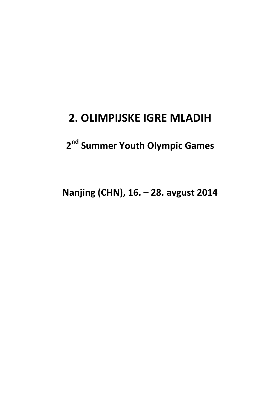### **2. OLIMPIJSKE IGRE MLADIH**

### **2 nd Summer Youth Olympic Games**

**Nanjing (CHN), 16. – 28. avgust 2014**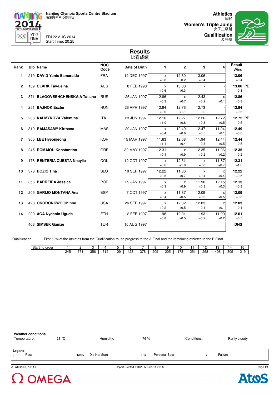

n 2014 YOG<br>DNA 996

FRI 22 AUG 2014 Start Time: 20:25

田径 **Women's Triple Jump** 女子三级跳 **Qualification**



### **Results** 比赛成绩

| Rank         | <b>Bib Name</b>                | <b>NOC</b><br>Code | Date of Birth | 1                      | $\mathbf{2}$           | 3                      | 4               | Result<br>Wind     |  |
|--------------|--------------------------------|--------------------|---------------|------------------------|------------------------|------------------------|-----------------|--------------------|--|
| 1.           | 219 DAVID Yanis Esmeralda      | <b>FRA</b>         | 12 DEC 1997   | X<br>$+0.8$            | 12.80<br>$-0.2$        | 13.06<br>$+0.4$        |                 | 13.06<br>$+0.4$    |  |
| $\mathbf{2}$ | 109 CLARK Tay-Leiha            | <b>AUS</b>         | 8 FEB 1998    | $\mathsf{x}$<br>$+0.6$ | 13.00<br>$+0.3$        |                        |                 | 13.00 PB<br>$+0.3$ |  |
| 3            | 371 BLAGOVESHCHENSKAIA Tatiana | <b>RUS</b>         | 25 JAN 1997   | 12.86<br>$+0.3$        | $\mathsf{x}$<br>$+0.7$ | 12.43<br>$+0.2$        | X<br>$+0.1$     | 12.86<br>$+0.3$    |  |
| 4            | 251 BAJNOK Eszter              | <b>HUN</b>         | 26 APR 1997   | 12.84<br>$+0.6$        | 12.76<br>$+1.1$        | 12.73<br>$-0.2$        |                 | 12.84<br>$+0.6$    |  |
| 5            | 268 KALMYKOVA Valentina        | <b>ITA</b>         | 23 JUN 1997   | 12.16<br>$+1.0$        | 12.27<br>$+0.8$        | 12.26<br>$+0.3$        | 12.72<br>$+0.5$ | 12.72 PB<br>$+0.5$ |  |
| 6            | 319 RAMASAMY Kirthana          | <b>MAS</b>         | 20 JAN 1997   | $\mathsf{x}$<br>$+0.4$ | 12.49<br>$+0.6$        | 12.47<br>$+0.5$        | 11.04<br>$-0.1$ | 12.49<br>$+0.6$    |  |
| 7            | 305 LEE Hyeonjeong             | <b>KOR</b>         | 15 MAR 1997   | 11.63<br>$+1.1$        | 12.08<br>$+0.4$        | 11.94<br>$-0.3$        | 12.44<br>$+0.5$ | 12.44<br>$+0.5$    |  |
| 8            | 245 ROMAIOU Konstantina        | <b>GRE</b>         | 30 MAY 1997   | 12.31<br>$+0.4$        | X<br>$+0.9$            | 12.35<br>$+0.2$        | 11.96<br>$+0.2$ | 12.35<br>$+0.2$    |  |
| 9            | 178 RENTERIA CUESTA Nhayila    | COL                | 12 OCT 1997   | $\mathsf{x}$<br>$+0.6$ | 12.31<br>$+1.0$        | X<br>$+0.8$            | 11.87<br>$+0.7$ | 12.31<br>$+1.0$    |  |
| 10           | 378 BOZIC Tina                 | <b>SLO</b>         | 10 SEP 1997   | 12.22<br>$+0.5$        | 11.86<br>$+0.7$        | $\mathsf{x}$<br>$+0.4$ | X<br>$+0.4$     | 12.22<br>$+0.5$    |  |
| 11           | 356 BARREIRA Jessica           | <b>POR</b>         | 29 JAN 1997   | X<br>$+0.3$            | X<br>$+0.9$            | 11.90<br>$+0.3$        | 12.15<br>$+0.3$ | 12.15<br>$+0.3$    |  |
| 12           | 205 GARIJO MONTANA Ana         | <b>ESP</b>         | 7 OCT 1997    | X<br>$+0.4$            | 11.87<br>$+0.5$        | 12.09<br>$+0.6$        | X<br>$+0.5$     | 12.09<br>$+0.6$    |  |
| 13           | 428 OKORONKWO Chinne           | <b>USA</b>         | 26 SEP 1997   | $\mathsf{x}$<br>$+0.2$ | 12.02<br>$+0.5$        | 12.03<br>$-0.1$        | X<br>$+0.1$     | 12.03<br>$-0.1$    |  |
| 14           | 209 AGA Nyebolo Uguda          | <b>ETH</b>         | 12 FEB 1997   | 11.98<br>$+0.8$        | 12.01<br>$+0.5$        | 11.93<br>$+0.2$        | 11.90<br>$+0.2$ | 12.01<br>$+0.5$    |  |
|              | 408 SIMSEK Gamze               | <b>TUR</b>         | 15 AUG 1997   |                        |                        |                        |                 | <b>DNS</b>         |  |

Qualification: First 50% of the athletes from the Qualification round progress to the A Final and the remaining athletes to the B Final

| Starting<br>order<br>$\sim$ |                   | -   |     |            |    |     |     |     |     | U               |     | -   | ~<br>$-$ | 14  | . .<br>ں ،   |
|-----------------------------|-------------------|-----|-----|------------|----|-----|-----|-----|-----|-----------------|-----|-----|----------|-----|--------------|
|                             | 24F<br><b>Tv.</b> | 07. | 356 | 210<br>. ب | 09 | 428 | 378 | 209 | 205 | 7R <sup>י</sup> | 25۰ | 268 | 408      | 305 | 210<br>ن ا ڪ |



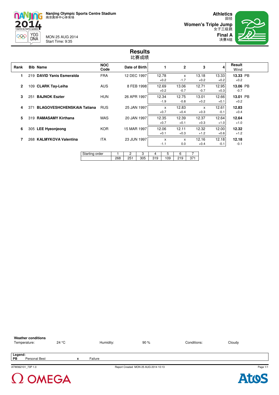

2014  $Y0G$ <br>DNA MON 25 AUG 2014 Start Time: 9:35

996

田径 **Women's Triple Jump** 女子三级跳 **Final A**



### **Results** 比赛成绩

| Rank         |     | <b>Bib Name</b>                   | <b>NOC</b><br>Code |     | Date of Birth         |             |          | 1               | $\overline{2}$  |          | 3               | 4               | Result<br>Wind     |  |
|--------------|-----|-----------------------------------|--------------------|-----|-----------------------|-------------|----------|-----------------|-----------------|----------|-----------------|-----------------|--------------------|--|
| 1            |     | 219 DAVID Yanis Esmeralda         | <b>FRA</b>         |     | 12 DEC 1997           |             |          | 12.78<br>$+0.2$ | X<br>$-1.7$     |          | 13.18<br>$+0.2$ | 13.33<br>$+0.2$ | 13.33 PB<br>$+0.2$ |  |
| $\mathbf{2}$ |     | 109 CLARK Tay-Leiha               | <b>AUS</b>         |     |                       | 8 FEB 1998  |          | 12.69<br>$+0.2$ | 13.06<br>$-0.7$ |          | 12.71<br>$-0.7$ | 12.95<br>$+0.3$ | 13.06 PB<br>$-0.7$ |  |
| 3            | 251 | <b>BAJNOK Eszter</b>              | <b>HUN</b>         |     | 26 APR 1997           |             |          | 12.34<br>$-1.9$ | 12.75<br>$-0.8$ |          | 13.01<br>$+0.2$ | 12.66<br>$+0.1$ | 13.01 PB<br>$+0.2$ |  |
| 4            | 371 | <b>BLAGOVESHCHENSKAIA Tatiana</b> | <b>RUS</b>         |     |                       | 25 JAN 1997 |          | X<br>$+0.7$     | 12.83<br>$+0.4$ |          | X<br>$+0.3$     | 12.61<br>$-0.1$ | 12.83<br>$+0.4$    |  |
| 5            |     | 319 RAMASAMY Kirthana             | <b>MAS</b>         |     |                       | 20 JAN 1997 |          | 12.35<br>$+0.7$ | 12.39<br>$+0.1$ |          | 12.37<br>$+0.3$ | 12.64<br>$+1.0$ | 12.64<br>$+1.0$    |  |
| 6            |     | 305 LEE Hyeonjeong                | <b>KOR</b>         |     | 15 MAR 1997           |             |          | 12.06<br>$+0.1$ | 12.11<br>$+0.3$ |          | 12.32<br>$+1.2$ | 12.00<br>$+0.6$ | 12.32<br>$+1.2$    |  |
| 7            |     | 268 KALMYKOVA Valentina           | <b>ITA</b>         |     | 23 JUN 1997           |             |          | X<br>$-1.1$     | X<br>0.0        |          | 12.16<br>$+0.4$ | 12.18<br>$-0.1$ | 12.18<br>$-0.1$    |  |
|              |     |                                   | Starting order     | 268 | $\overline{c}$<br>251 | 3<br>305    | 4<br>319 | 5<br>109        | 6<br>219        | 7<br>371 |                 |                 |                    |  |

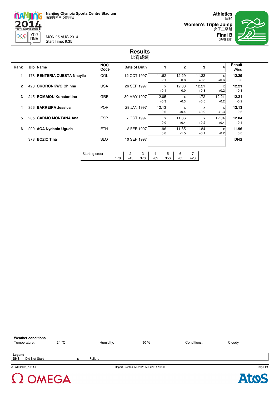

2014 YOG<br>DNA 999

MON 25 AUG 2014 Start Time: 9:35



### **Results** 比赛成绩

| Rank         | <b>Bib Name</b>             | <b>NOC</b><br>Code | Date of Birth | 1                                | $\mathbf{2}$    | 3               | $\overline{4}$                      | Result<br>Wind  |
|--------------|-----------------------------|--------------------|---------------|----------------------------------|-----------------|-----------------|-------------------------------------|-----------------|
| 1            | 178 RENTERIA CUESTA Nhayila | COL                | 12 OCT 1997   | 11.62<br>$-2.1$                  | 12.29<br>$-0.8$ | 11.33<br>$+0.8$ | $\boldsymbol{\mathsf{x}}$<br>$+0.6$ | 12.29<br>$-0.8$ |
| $\mathbf{2}$ | 428 OKORONKWO Chinne        | <b>USA</b>         | 26 SEP 1997   | X<br>$+0.1$                      | 12.08<br>0.0    | 12.21<br>$+0.3$ | X<br>$+0.2$                         | 12.21<br>$+0.3$ |
| 3            | 245 ROMAIOU Konstantina     | <b>GRE</b>         | 30 MAY 1997   | 12.05<br>$+0.3$                  | X<br>$-0.3$     | 11.72<br>$+0.5$ | 12.21<br>$-0.2$                     | 12.21<br>$-0.2$ |
| 4            | 356 BARREIRA Jessica        | <b>POR</b>         | 29 JAN 1997   | 12.13<br>$-0.6$                  | X<br>$+0.4$     | X<br>$+0.9$     | X<br>$+1.3$                         | 12.13<br>$-0.6$ |
| 5            | 205 GARIJO MONTANA Ana      | <b>ESP</b>         | 7 OCT 1997    | $\boldsymbol{\mathsf{x}}$<br>0.0 | 11.86<br>$+0.4$ | X<br>$+0.2$     | 12.04<br>$+0.4$                     | 12.04<br>$+0.4$ |
| 6            | 209 AGA Nyebolo Uguda       | <b>ETH</b>         | 12 FEB 1997   | 11.96<br>0.0                     | 11.85<br>$-1.5$ | 11.84<br>$+0.1$ | X<br>$-0.2$                         | 11.96<br>0.0    |
|              | 378 BOZIC Tina              | <b>SLO</b>         | 10 SEP 1997   |                                  |                 |                 |                                     | <b>DNS</b>      |
|              |                             | Starting order     | 2<br>3        | 5<br>4                           | 6               |                 |                                     |                 |

378

209

356

205

428

178

245

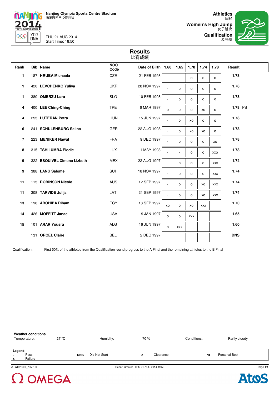

THU 21 AUG 2014 Start Time: 18:50

n

995

2014

**YOG** 

DNA

田径 **Women's High Jump** 女子跳高

**Qualification** 及格赛



### **Results** 比赛成绩

| Rank                     | <b>Bib Name</b>             | <b>NOC</b><br>Code | Date of Birth | 1.60     | 1.65       | 1.70       | 1.74       | 1.78       | Result     |
|--------------------------|-----------------------------|--------------------|---------------|----------|------------|------------|------------|------------|------------|
| 1                        | 187 HRUBA Michaela          | CZE                | 21 FEB 1998   |          | ÷,         | $\circ$    | o          | $\circ$    | 1.78       |
| 1                        | 420 LEVCHENKO Yuliya        | <b>UKR</b>         | 28 NOV 1997   |          | 0          | o          | 0          | $\circ$    | 1.78       |
| 1                        | 380 OMERZU Lara             | <b>SLO</b>         | 10 FEB 1998   |          | o          | $\circ$    | 0          | $\circ$    | 1.78       |
| 4                        | 400 LEE Ching-Ching         | <b>TPE</b>         | 6 MAR 1997    | $\Omega$ | o          | $\circ$    | XO         | $\circ$    | 1.78 PB    |
| 4                        | 255 LUTERAN Petra           | <b>HUN</b>         | 15 JUN 1997   |          | o          | XO         | o          | o          | 1.78       |
| 6                        | 241 SCHULENBURG Selina      | GER                | 22 AUG 1998   |          | 0          | XO         | XO         | $\circ$    | 1.78       |
| $\overline{\phantom{a}}$ | 223 MENIKER Nawal           | <b>FRA</b>         | 9 DEC 1997    |          | $\Omega$   | $\Omega$   | 0          | XO         | 1.78       |
| 8                        | 315 TSHILUMBA Elodie        | <b>LUX</b>         | 1 MAY 1998    |          | ä,         | $\circ$    | 0          | XXO        | 1.78       |
| 9                        | 322 ESQUIVEL Ximena Lizbeth | <b>MEX</b>         | 22 AUG 1997   |          | o          | $\circ$    | 0          | <b>XXX</b> | 1.74       |
| 9                        | 388 LANG Salome             | SUI                | 18 NOV 1997   |          | o          | $\circ$    | o          | XXX        | 1.74       |
| 11                       | 115 ROBINSON Nicole         | <b>AUS</b>         | 12 SEP 1997   |          | 0          | $\circ$    | XO         | <b>XXX</b> | 1.74       |
| 11                       | 308 TARVIDE Julija          | LAT                | 21 SEP 1997   |          | o          | $\circ$    | XO         | <b>XXX</b> | 1.74       |
| 13                       | 198 ABOHIBA Riham           | EGY                | 18 SEP 1997   | XO       | o          | XO         | <b>XXX</b> |            | 1.70       |
| 14                       | 426 MOFFITT Janae           | <b>USA</b>         | 9 JAN 1997    | $\circ$  | o          | <b>XXX</b> |            |            | 1.65       |
| 15                       | 101 ARAR Yousra             | <b>ALG</b>         | 16 JUN 1997   | $\Omega$ | <b>XXX</b> |            |            |            | 1.60       |
|                          | 131 ORCEL Claire            | <b>BEL</b>         | 2 DEC 1997    |          |            |            |            |            | <b>DNS</b> |

Qualification: First 50% of the athletes from the Qualification round progress to the A Final and the remaining athletes to the B Final



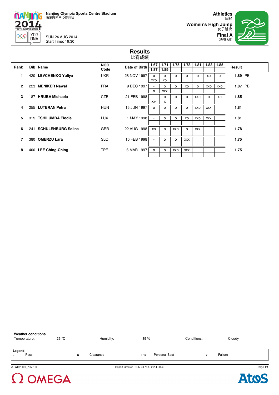

SUN 24 AUG 2014 Start Time: 19:30

**Women's High Jump**

**Athletics** 田径 女子跳高 **Final A** 决赛A组

### **Results** 比赛成绩

| Rank           | <b>Bib Name</b>        | <b>NOC</b> | Date of Birth | 1.67                     | 1.71       | 1.75     | 1.78       | 1.81       | 1.83       | 1.85 | Result  |  |
|----------------|------------------------|------------|---------------|--------------------------|------------|----------|------------|------------|------------|------|---------|--|
|                |                        | Code       |               | 1.87                     | 1.89       |          |            |            |            |      |         |  |
| 1              | 420 LEVCHENKO Yuliya   | <b>UKR</b> | 28 NOV 1997   | о                        | o          | o        | 0          | о          | XO         | о    | 1.89 PB |  |
|                |                        |            |               | XXO                      | XO         |          |            |            |            |      |         |  |
|                |                        | <b>FRA</b> |               |                          |            |          |            |            |            |      |         |  |
| $\overline{2}$ | 223 MENIKER Nawal      |            | 9 DEC 1997    | $\sim$                   | $\circ$    | $\Omega$ | XO         | $\circ$    | XXO        | XXO  | 1.87 PB |  |
|                |                        |            |               | $\Omega$                 | <b>XXX</b> |          |            |            |            |      |         |  |
| 3              | 187 HRUBA Michaela     | CZE        | 21 FEB 1998   | $\overline{\phantom{a}}$ | $\circ$    | $\Omega$ | $\Omega$   | XXO        | $\circ$    | XO   | 1.85    |  |
|                |                        |            |               | $XX-$                    | X          |          |            |            |            |      |         |  |
|                |                        |            |               |                          |            |          |            |            |            |      |         |  |
| 4              | 255 LUTERAN Petra      | <b>HUN</b> | 15 JUN 1997   | $\circ$                  | o          | o        | o          | XXO        | <b>XXX</b> |      | 1.81    |  |
|                |                        |            |               |                          |            |          |            |            |            |      |         |  |
| 5              | 315 TSHILUMBA Elodie   | <b>LUX</b> | 1 MAY 1998    | $\sim$                   | o          | $\Omega$ | XO         | XXO        | <b>XXX</b> |      | 1.81    |  |
|                |                        |            |               |                          |            |          |            |            |            |      |         |  |
|                |                        |            |               |                          |            |          |            |            |            |      |         |  |
| 6              | 241 SCHULENBURG Selina | <b>GER</b> | 22 AUG 1998   | XO                       | o          | XXO      | o          | <b>XXX</b> |            |      | 1.78    |  |
|                |                        |            |               |                          |            |          |            |            |            |      |         |  |
|                | 380 OMERZU Lara        | <b>SLO</b> | 10 FEB 1998   | $\overline{\phantom{a}}$ | o          | $\Omega$ | <b>XXX</b> |            |            |      | 1.75    |  |
|                |                        |            |               |                          |            |          |            |            |            |      |         |  |
|                |                        |            |               |                          |            |          |            |            |            |      |         |  |
| 8              | 400 LEE Ching-Ching    | <b>TPE</b> | 6 MAR 1997    | $\circ$                  | o          | xxo      | XXX        |            |            |      | 1.75    |  |
|                |                        |            |               |                          |            |          |            |            |            |      |         |  |
|                |                        |            |               |                          |            |          |            |            |            |      |         |  |

| <b>Weather conditions</b><br>Temperature: | 26 °C | Humidity: | 89%                                  |               | Conditions: | Cloudy  |          |
|-------------------------------------------|-------|-----------|--------------------------------------|---------------|-------------|---------|----------|
| Legend:<br>Pass<br>$\,$                   |       | Clearance | PB                                   | Personal Best |             | Failure |          |
| ATW071101_73M 1.0                         |       |           | Report Created SUN 24 AUG 2014 20:40 |               |             |         | Page 1/1 |

 $\Omega$  OMEGA

**Atos**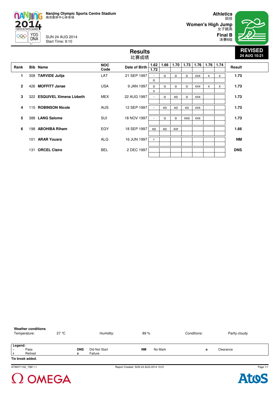SUN 24 AUG 2014 Start Time: 9:10

2014

996

 $Y0G$ <br>DNA

田径 **Women's High Jump** 女子跳高



| <b>Results</b><br>比赛成绩 |     |                             |                    |               |                          |          |          |      |            |      |      |            |
|------------------------|-----|-----------------------------|--------------------|---------------|--------------------------|----------|----------|------|------------|------|------|------------|
| Rank                   |     | <b>Bib Name</b>             | <b>NOC</b><br>Code | Date of Birth | 1.62<br>1.72             | 1.66     | 1.70     | 1.73 | 1.76       | 1.76 | 1.74 | Result     |
| 1                      |     | 308 TARVIDE Julija          | LAT                | 21 SEP 1997   | $\circ$                  | $\circ$  | O        | o    | <b>XXX</b> | X    | x    | 1.73       |
| $\overline{2}$         |     | 426 MOFFITT Janae           | <b>USA</b>         | 9 JAN 1997    | $\Omega$<br>X            | $\Omega$ | $\Omega$ | O    | <b>XXX</b> | x    | x    | 1.73       |
| 3                      |     | 322 ESQUIVEL Ximena Lizbeth | <b>MEX</b>         | 22 AUG 1997   | $\overline{\phantom{0}}$ | $\circ$  | XO       | o    | <b>XXX</b> |      |      | 1.73       |
| 4                      |     | 115 ROBINSON Nicole         | <b>AUS</b>         | 12 SEP 1997   |                          | XO       | XO       | XO   | <b>XXX</b> |      |      | 1.73       |
| 5                      |     | 388 LANG Salome             | <b>SUI</b>         | 18 NOV 1997   |                          | $\Omega$ | $\Omega$ | XXO  | <b>XXX</b> |      |      | 1.73       |
| 6                      | 198 | <b>ABOHIBA Riham</b>        | EGY                | 18 SEP 1997   | XO                       | XO       | xxr      |      |            |      |      | 1.66       |
|                        | 101 | <b>ARAR Yousra</b>          | <b>ALG</b>         | 16 JUN 1997   |                          |          |          |      |            |      |      | <b>NM</b>  |
|                        | 131 | <b>ORCEL Claire</b>         | BEL                | 2 DEC 1997    |                          |          |          |      |            |      |      | <b>DNS</b> |
|                        |     |                             |                    |               |                          |          |          |      |            |      |      |            |



 $\Omega$  OMEGA

Page 1/1

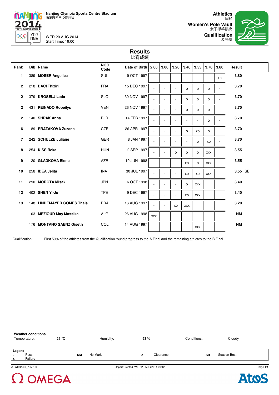

N

996

2014

YOG<br>DNA

WED 20 AUG 2014 Start Time: 19:00

田径 **Women's Pole Vault** 女子撑竿跳高 **Qualification**



| 比赛成绩           |     |                                   |                    |               |            |      |                          |            |            |            |                |           |  |
|----------------|-----|-----------------------------------|--------------------|---------------|------------|------|--------------------------|------------|------------|------------|----------------|-----------|--|
| Rank           |     | <b>Bib Name</b>                   | <b>NOC</b><br>Code | Date of Birth | 2.80       | 3.00 | 3.20                     | 3.40       | 3.55       | 3.70       | 3.80           | Result    |  |
| 1              |     | 389 MOSER Angelica                | <b>SUI</b>         | 9 OCT 1997    |            |      |                          |            |            |            | XO             | 3.80      |  |
| $\mathbf{2}$   |     | 218 DACI Thiziri                  | <b>FRA</b>         | 15 DEC 1997   |            |      | ÷,                       | O          | $\Omega$   | o          | $\blacksquare$ | 3.70      |  |
| $\mathbf{2}$   |     | 379 KROSELJ Leda                  | <b>SLO</b>         | 30 NOV 1997   |            |      | ÷                        | o          | O          | O          | $\blacksquare$ | 3.70      |  |
| 2              |     | 431 PEINADO Robeilys              | <b>VEN</b>         | 26 NOV 1997   |            |      | L.                       | o          | $\circ$    | $\circ$    |                | 3.70      |  |
| $\mathbf{2}$   |     | 140 SHPAK Anna                    | <b>BLR</b>         | 14 FEB 1997   |            |      | L,                       |            |            | o          | ä,             | 3.70      |  |
| 6              |     | 189 PRAZAKOVA Zuzana              | <b>CZE</b>         | 26 APR 1997   |            |      | L.                       | O          | XO         | $\circ$    |                | 3.70      |  |
| $\overline{7}$ |     | 242 SCHULZE Juliane               | <b>GER</b>         | 8 JAN 1997    |            |      | L.                       | ÷          | o          | XO         | ä,             | 3.70      |  |
| 8              |     | 254 KISS Reka                     | <b>HUN</b>         | 2 SEP 1997    |            | ÷    | $\Omega$                 | $\circ$    | $\Omega$   | <b>XXX</b> |                | 3.55      |  |
| 9              |     | 120 GLADKOVA Elena                | <b>AZE</b>         | 10 JUN 1998   |            |      | ÷,                       | XO         | $\Omega$   | <b>XXX</b> |                | 3.55      |  |
| 10             |     | 258 IDEA Jelita                   | <b>INA</b>         | 30 JUL 1997   |            |      | $\overline{\phantom{a}}$ | XO         | XO         | <b>XXX</b> |                | 3.55 SB   |  |
| 11             |     | 290 MOROTA Misaki                 | <b>JPN</b>         | 6 OCT 1998    |            | ÷.   | ä,                       | o          | <b>XXX</b> |            |                | 3.40      |  |
| 12             |     | 402 SHEN Yi-Ju                    | <b>TPE</b>         | 9 DEC 1997    |            |      | ä,                       | XO         | <b>XXX</b> |            |                | 3.40      |  |
| 13             |     | <b>148 LINDEMAYER GOMES Thais</b> | <b>BRA</b>         | 16 AUG 1997   |            |      | XO                       | <b>XXX</b> |            |            |                | 3.20      |  |
|                |     | 103 MEZIOUD May Massika           | <b>ALG</b>         | 26 AUG 1998   | <b>XXX</b> |      |                          |            |            |            |                | <b>NM</b> |  |
|                | 176 | <b>MONTANO SAENZ Giseth</b>       | <b>COL</b>         | 14 AUG 1997   |            |      | ٠                        | ٠          | <b>XXX</b> |            |                | <b>NM</b> |  |

**Results**

Qualification: First 50% of the athletes from the Qualification round progress to the A Final and the remaining athletes to the B Final





**Atos**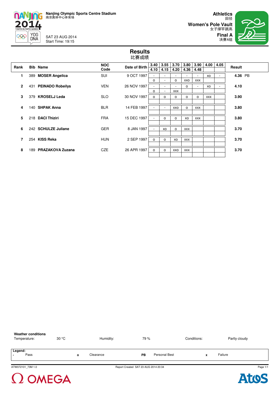

SAT 23 AUG 2014 Start Time: 19:15

田径 **Women's Pole Vault** 女子撑竿跳高



**Results** 比赛成绩

| Rank         |     | <b>Bib Name</b>         | <b>NOC</b> | Date of Birth | 3.40                     | 3.55                     | 3.70       | 3.80       | 3.90                     | 4.00       | 4.05 | Result  |
|--------------|-----|-------------------------|------------|---------------|--------------------------|--------------------------|------------|------------|--------------------------|------------|------|---------|
|              |     |                         | Code       |               | 4.10                     | 4.15                     | 4.20       | 4.36       | 4.48                     |            |      |         |
| 1.           |     | 389 MOSER Angelica      | <b>SUI</b> | 9 OCT 1997    | ٠                        |                          |            |            | $\overline{\phantom{a}}$ | XO         |      | 4.36 PB |
|              |     |                         |            |               | $\circ$                  |                          | $\circ$    | XXO        | <b>XXX</b>               |            |      |         |
| $\mathbf{2}$ |     | 431 PEINADO Robeilys    | <b>VEN</b> | 26 NOV 1997   | $\blacksquare$           |                          |            | $\circ$    | $\sim$                   | XO         | ۰    | 4.10    |
|              |     |                         |            |               | $\Omega$                 | $\overline{\phantom{a}}$ | <b>XXX</b> |            |                          |            |      |         |
| 3            |     | 379 KROSELJ Leda        | <b>SLO</b> | 30 NOV 1997   | 0                        | $\Omega$                 | $\Omega$   | $\Omega$   | $\circ$                  | <b>XXX</b> |      | 3.90    |
|              |     |                         |            |               |                          |                          |            |            |                          |            |      |         |
| 4            |     | 140 SHPAK Anna          | <b>BLR</b> | 14 FEB 1997   | $\blacksquare$           |                          | xxo        | o          | <b>XXX</b>               |            |      | 3.80    |
|              |     |                         |            |               |                          |                          |            |            |                          |            |      |         |
| 5            |     | 218 DACI Thiziri        | <b>FRA</b> | 15 DEC 1997   | $\overline{\phantom{a}}$ | $\Omega$                 | $\Omega$   | XO         | <b>XXX</b>               |            |      | 3.80    |
|              |     |                         |            |               |                          |                          |            |            |                          |            |      |         |
| 6            |     | 242 SCHULZE Juliane     | <b>GER</b> | 8 JAN 1997    | ٠                        | XO                       | $\circ$    | XXX        |                          |            |      | 3.70    |
|              |     |                         |            |               |                          |                          |            |            |                          |            |      |         |
| 7            |     | 254 KISS Reka           | <b>HUN</b> | 2 SEP 1997    | $\circ$                  | $\Omega$                 | XO         | <b>XXX</b> |                          |            |      | 3.70    |
|              |     |                         |            |               |                          |                          |            |            |                          |            |      |         |
| 8            | 189 | <b>PRAZAKOVA Zuzana</b> | <b>CZE</b> | 26 APR 1997   | $\circ$                  | o                        | XXO        | <b>XXX</b> |                          |            |      | 3.70    |
|              |     |                         |            |               |                          |                          |            |            |                          |            |      |         |

| <b>Weather conditions</b><br>Temperature: | 30 °C | Humidity: | 79 %                                 |               | Conditions: |   | Partly cloudy |    |
|-------------------------------------------|-------|-----------|--------------------------------------|---------------|-------------|---|---------------|----|
| Legend:<br>Pass                           |       | Clearance | PB                                   | Personal Best |             | x | Failure       |    |
| ATW072101_73M 1.0                         |       |           | Report Created SAT 23 AUG 2014 20:34 |               |             |   |               | Pa |

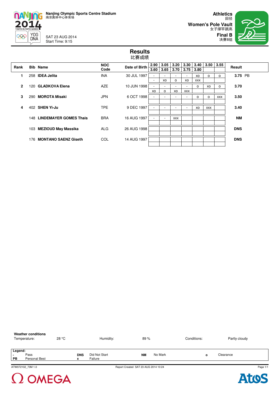

 $\begin{array}{c}\nYOG \\
DNA\n\end{array}$ 999

SAT 23 AUG 2014 Start Time: 9:15

田径 **Women's Pole Vault** 女子撑竿跳高



### **Results** 比赛成绩

| Rank           | <b>Bib Name</b>            | <b>NOC</b><br>Code | Date of Birth | 3.60                          | $2.90$   3.05  <br>3.65        | 3.20<br>3.70 | $ 3.30\rangle$<br>3.75 | 3.40<br>3.80    | 3.50       | 3.55    | Result     |
|----------------|----------------------------|--------------------|---------------|-------------------------------|--------------------------------|--------------|------------------------|-----------------|------------|---------|------------|
| 1              | 258 IDEA Jelita            | <b>INA</b>         | 30 JUL 1997   | $\overline{\phantom{a}}$      | $\overline{\phantom{a}}$       |              | ۰                      | XO              | $\Omega$   | $\circ$ | 3.75 PB    |
| $\overline{2}$ | 120 GLADKOVA Elena         | <b>AZE</b>         | 10 JUN 1998   | $\overline{\phantom{a}}$<br>٠ | XO<br>$\overline{\phantom{a}}$ | $\circ$      | XO<br>۰                | <b>XXX</b><br>0 | XO         | o       | 3.70       |
|                |                            |                    |               | XO                            | o                              | XO           | <b>XXX</b>             |                 |            |         |            |
| 3              | 290 MOROTA Misaki          | <b>JPN</b>         | 6 OCT 1998    |                               | $\blacksquare$                 |              |                        | o               | o          | XXX     | 3.50       |
| 4              | 402 SHEN Yi-Ju             | <b>TPE</b>         | 9 DEC 1997    | $\overline{\phantom{a}}$      | $\overline{\phantom{a}}$       |              | ۰                      | XO              | <b>XXX</b> |         | 3.40       |
|                | 148 LINDEMAYER GOMES Thais | <b>BRA</b>         | 16 AUG 1997   | ٠                             | $\overline{\phantom{a}}$       | <b>XXX</b>   |                        |                 |            |         | NΜ         |
|                | 103 MEZIOUD May Massika    | <b>ALG</b>         | 26 AUG 1998   |                               |                                |              |                        |                 |            |         | <b>DNS</b> |
|                | 176 MONTANO SAENZ Giseth   | COL.               | 14 AUG 1997   |                               |                                |              |                        |                 |            |         | <b>DNS</b> |

| <b>Weather conditions</b><br>Temperature: |                       | 28 °C |                 | Humidity:                | 89 %                                 | Conditions: | Partly cloudy |
|-------------------------------------------|-----------------------|-------|-----------------|--------------------------|--------------------------------------|-------------|---------------|
| Legend:<br>$\blacksquare$<br>PB           | Pass<br>Personal Best |       | <b>DNS</b><br>x | Did Not Start<br>Failure | No Mark<br><b>NM</b>                 | o           | Clearance     |
|                                           | ATW072102 73M 1.0     |       |                 |                          | Report Created SAT 23 AUG 2014 10:24 |             | Pac           |



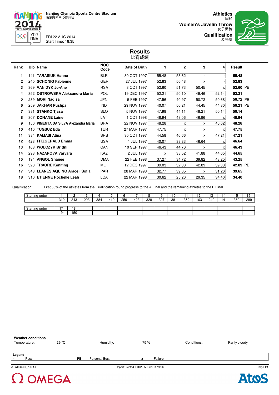

**YOG** DNA

2 OMEGA

 $\overline{\mathbf{C}}$ 

n

FRI 22 AUG 2014 Start Time: 18:35

田径 **Women's Javelin Throw** 女子标枪 **Qualification**



### **Results** 比赛成绩

| Rank | <b>Bib Name</b>                      | <b>NOC</b><br>Code | Date of Birth | 1     | $\mathbf{2}$ | 3     | 4     | Result   |
|------|--------------------------------------|--------------------|---------------|-------|--------------|-------|-------|----------|
| 1    | 141 TARASIUK Hanna                   | <b>BLR</b>         | 30 OCT 1997   | 55.48 | 53.62        |       |       | 55.48    |
| 2    | 240 SCHONIG Fabienne                 | <b>GER</b>         | 27 JUL 1997   | 52.83 | 50.48        | X     |       | 52.83    |
| 3    | 369 VAN DYK Jo-Ane                   | <b>RSA</b>         | 3 OCT 1997    | 52.60 | 51.73        | 50.45 | x     | 52.60 PB |
| 4    | 352 OSTROWSKA Aleksandra Maria       | <b>POL</b>         | 19 DEC 1997   | 52.21 | 50.10        | 49.46 | 52.14 | 52.21    |
| 5    | 289 MORI Nagisa                      | <b>JPN</b>         | 5 FEB 1997    | 47.56 | 40.97        | 50.72 | 50.68 | 50.72 PB |
| 6    | 259 JAKHAR Pushpa                    | <b>IND</b>         | 29 NOV 1997   | 40.07 | 50.21        | 44.45 | 44.30 | 50.21 PB |
|      | 381 STANKO Tjasa                     | <b>SLO</b>         | 5 NOV 1997    | 47.98 | 44.11        | 48.21 | 50.14 | 50.14    |
| 8    | 307 DONANE Laine                     | LAT                | 1 OCT 1998    | 48.94 | 48.06        | 46.96 | x     | 48.94    |
| 9    | 150 PIMENTA DA SILVA Alexandra Maria | <b>BRA</b>         | 22 NOV 1997   | 48.28 | X            | x     | 46.62 | 48.28    |
| 10   | 410 TUGSUZ Eda                       | <b>TUR</b>         | 27 MAR 1997   | 47.75 | X            | x     | x     | 47.75    |
| 11   | 384 KAMASI Atina                     | <b>SRB</b>         | 30 OCT 1997   | 44.58 | 46.66        | x     | 47.21 | 47.21    |
| 12   | 423 FITZGERALD Emma                  | <b>USA</b>         | 1 JUL 1997    | 40.07 | 38.83        | 46.64 | x     | 46.64    |
| 13   | 163 WOLCZYK Brittni                  | CAN                | 10 SEP 1997   | 46.43 | 44.76        | x     | х     | 46.43    |
| 14   | 293 NAZAROVA Varvara                 | <b>KAZ</b>         | 2 JUL 1997    | X     | 38.52        | 41.88 | 44.65 | 44.65    |
| 15   | 194 ANGOL Shanee                     | <b>DMA</b>         | 22 FEB 1998   | 37.27 | 34.72        | 39.82 | 43.25 | 43.25    |
| 16   | 328 TRAORE Kenifing                  | <b>MLI</b>         | 12 DEC 1997   | 39.03 | 32.88        | 42.89 | 39.33 | 42.89 PB |
| 17   | 343 LLANES AQUINO Araceli Sofia      | <b>PAR</b>         | 28 MAR 1998   | 32.77 | 39.65        | X     | 31.26 | 39.65    |
| 18   | 310 ETIENNE Rochelle Leah            | <b>LCA</b>         | 22 MAR 1998   | 30.62 | 25.20        | 29.35 | 34.40 | 34.40    |

Qualification: First 50% of the athletes from the Qualification round progress to the A Final and the remaining athletes to the B Final

| Starting order |                                 | _   | ◡   |     | J   |     |     |     | u<br>v | 10  |     | 12<br>. <u>.</u> | 13  | ۱4  | ١b  | 16  |
|----------------|---------------------------------|-----|-----|-----|-----|-----|-----|-----|--------|-----|-----|------------------|-----|-----|-----|-----|
|                | 310                             | 343 | 293 | 384 | 410 | 259 | 423 | 328 | 307    | 381 | 352 | 163              | 240 | 141 | 369 | 289 |
|                |                                 |     |     |     |     |     |     |     |        |     |     |                  |     |     |     |     |
| Starting order | $\overline{\phantom{a}}$<br>. . | 18  |     |     |     |     |     |     |        |     |     |                  |     |     |     |     |
|                | 194                             | 150 |     |     |     |     |     |     |        |     |     |                  |     |     |     |     |



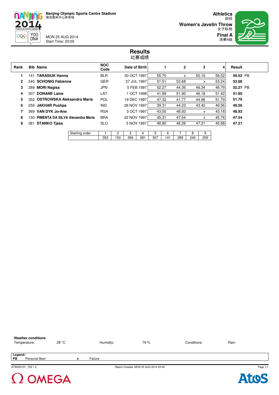MON 25 AUG 2014 Start Time: 20:05

**nANJING** 2014

999

YOG<br>DNA

田径 **Women's Javelin Throw** 女子标枪 **Final A**



### **Results** 比赛成绩

| Rank         |     | <b>Bib Name</b>                      | <b>NOC</b><br>Code |     | Date of Birth |             |       |       | $\mathbf{2}$ |     | 3            | 4     | Result   |  |
|--------------|-----|--------------------------------------|--------------------|-----|---------------|-------------|-------|-------|--------------|-----|--------------|-------|----------|--|
|              | 141 | <b>TARASIUK Hanna</b>                | <b>BLR</b>         |     | 30 OCT 1997   |             |       | 55.70 | x            |     | 50.10        | 59.52 | 59.52 PB |  |
| $\mathbf{2}$ |     | 240 SCHONIG Fabienne                 | <b>GER</b>         |     |               | 27 JUL 1997 | 51.51 |       | 53.68        |     | X            | 53.24 | 53.68    |  |
| 3            |     | 289 MORI Nagisa                      | <b>JPN</b>         |     |               | 5 FEB 1997  |       | 52.27 | 44.36        |     | 46.34        | 46.79 | 52.27 PB |  |
| 4            | 307 | <b>DONANE Laine</b>                  | LAT                |     |               | 1 OCT 1998  |       | 41.89 | 51.90        |     | 46.18        | 51.42 | 51.90    |  |
| 5.           |     | 352 OSTROWSKA Aleksandra Maria       | <b>POL</b>         |     | 19 DEC 1997   |             |       | 47.32 | 41.77        |     | 44.96        | 51.79 | 51.79    |  |
| 6            |     | 259 JAKHAR Pushpa                    | <b>IND</b>         |     | 29 NOV 1997   |             | 39.31 |       | 44.23        |     | 43.42        | 49.56 | 49.56    |  |
| 7            |     | 369 VAN DYK Jo-Ane                   | <b>RSA</b>         |     |               | 3 OCT 1997  |       | 43.50 | 48.93        |     | $\mathsf{x}$ | 43.18 | 48.93    |  |
| 8            |     | 150 PIMENTA DA SILVA Alexandra Maria | <b>BRA</b>         |     | 22 NOV 1997   |             | 45.31 |       | 47.54        |     | X            | 45.76 | 47.54    |  |
| 9            |     | 381 STANKO Tjasa                     | <b>SLO</b>         |     |               | 5 NOV 1997  |       | 46.80 | 46.26        |     | 47.21        | 45.68 | 47.21    |  |
|              |     |                                      |                    |     |               |             |       |       |              |     |              |       |          |  |
|              |     | Starting order                       |                    | 2   | 3             | 4           | 5     | 6     |              | 8   | 9            |       |          |  |
|              |     |                                      | 352                | 150 | 369           | 381         | 307   | 141   | 289          | 240 | 259          |       |          |  |